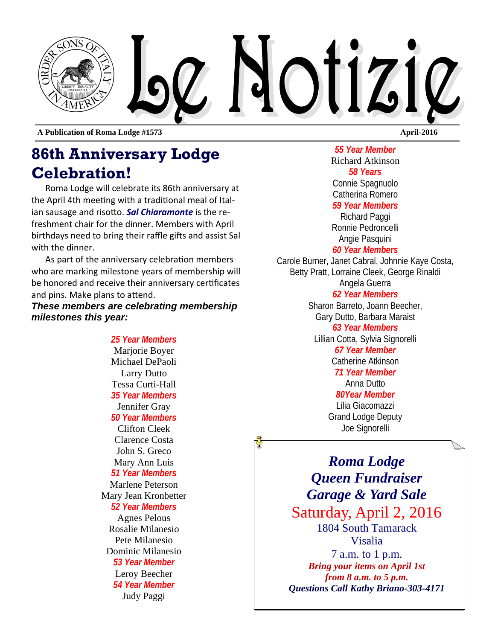

**A Publication of Roma Lodge #1573 April-2016** 

## **86th Anniversary Lodge Celebration!**

Roma Lodge will celebrate its 86th anniversary at the April 4th meeting with a traditional meal of Italian sausage and risotto. **Sal Chiaramonte** is the refreshment chair for the dinner. Members with April birthdays need to bring their raffle gifts and assist Sal with the dinner.

As part of the anniversary celebration members who are marking milestone years of membership will be honored and receive their anniversary certificates and pins. Make plans to attend.

*These members are celebrating membership milestones this year:* 

> *25 Year Members*  Marjorie Boyer Michael DePaoli Larry Dutto Tessa Curti-Hall *35 Year Members*  Jennifer Gray *50 Year Members*  Clifton Cleek Clarence Costa John S. Greco Mary Ann Luis *51 Year Members*  Marlene Peterson Mary Jean Kronbetter *52 Year Members*  Agnes Pelous Rosalie Milanesio Pete Milanesio Dominic Milanesio *53 Year Member*  Leroy Beecher *54 Year Member*  Judy Paggi

*55 Year Member*  Richard Atkinson *58 Years*  Connie Spagnuolo Catherina Romero *59 Year Members*  Richard Paggi Ronnie Pedroncelli Angie Pasquini *60 Year Members* Carole Burner, Janet Cabral, Johnnie Kaye Costa, Betty Pratt, Lorraine Cleek, George Rinaldi Angela Guerra *62 Year Members*  Sharon Barreto, Joann Beecher, Gary Dutto, Barbara Maraist *63 Year Members* 

Lillian Cotta, Sylvia Signorelli *67 Year Member*  Catherine Atkinson *71 Year Member*  Anna Dutto *80Year Member* 

Lilia Giacomazzi Grand Lodge Deputy Joe Signorelli

*Roma Lodge Queen Fundraiser Garage & Yard Sale* Saturday, April 2, 2016 1804 South Tamarack Visalia 7 a.m. to 1 p.m. *Bring your items on April 1st from 8 a.m. to 5 p.m. Questions Call Kathy Briano-303-4171*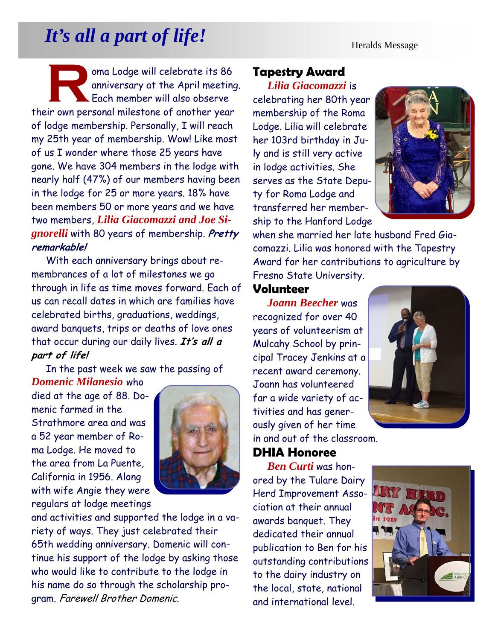# *It's all a part of life!* Heralds Message

oma Lodge will celebrate its 86<br>
anniversary at the April meeting<br>
Each member will also observe anniversary at the April meeting. Each member will also observe their own personal milestone of another year of lodge membership. Personally, I will reach my 25th year of membership. Wow! Like most of us I wonder where those 25 years have gone. We have 304 members in the lodge with nearly half (47%) of our members having been in the lodge for 25 or more years. 18% have been members 50 or more years and we have two members, *Lilia Giacomazzi and Joe Signorelli* with 80 years of membership. **Pretty remarkable!** 

With each anniversary brings about remembrances of a lot of milestones we go through in life as time moves forward. Each of us can recall dates in which are families have celebrated births, graduations, weddings, award banquets, trips or deaths of love ones that occur during our daily lives. **It's all a part of life!** 

In the past week we saw the passing of

*Domenic Milanesio* who died at the age of 88. Domenic farmed in the Strathmore area and was a 52 year member of Roma Lodge. He moved to the area from La Puente, California in 1956. Along with wife Angie they were regulars at lodge meetings



and activities and supported the lodge in a variety of ways. They just celebrated their 65th wedding anniversary. Domenic will continue his support of the lodge by asking those who would like to contribute to the lodge in his name do so through the scholarship program. Farewell Brother Domenic.

#### **Tapestry Award**

*Lilia Giacomazzi* is celebrating her 80th year membership of the Roma Lodge. Lilia will celebrate her 103rd birthday in July and is still very active in lodge activities. She serves as the State Deputy for Roma Lodge and transferred her membership to the Hanford Lodge



when she married her late husband Fred Giacomazzi. Lilia was honored with the Tapestry Award for her contributions to agriculture by Fresno State University.

#### **Volunteer**

*Joann Beecher* was recognized for over 40 years of volunteerism at Mulcahy School by principal Tracey Jenkins at a recent award ceremony. Joann has volunteered far a wide variety of activities and has generously given of her time in and out of the classroom.

#### **DHIA Honoree**

*Ben Curti* was honored by the Tulare Dairy Herd Improvement Association at their annual awards banquet. They dedicated their annual publication to Ben for his outstanding contributions to the dairy industry on the local, state, national and international level.

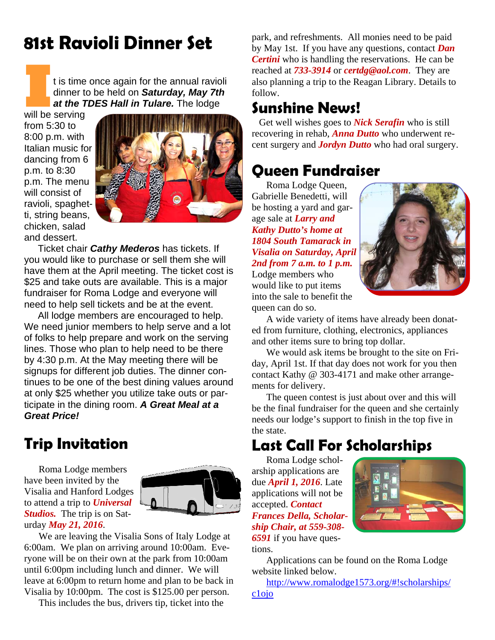# **81st Ravioli Dinner Set**

**I** t is time once again for the annual ravioli dinner to be held on *Saturday, May 7th at the TDES Hall in Tulare.* The lodge

will be serving from 5:30 to 8:00 p.m. with Italian music for dancing from 6 p.m. to 8:30 p.m. The menu will consist of ravioli, spaghetti, string beans, chicken, salad and dessert.



Ticket chair *Cathy Mederos* has tickets. If you would like to purchase or sell them she will have them at the April meeting. The ticket cost is \$25 and take outs are available. This is a major fundraiser for Roma Lodge and everyone will need to help sell tickets and be at the event.

All lodge members are encouraged to help. We need junior members to help serve and a lot of folks to help prepare and work on the serving lines. Those who plan to help need to be there by 4:30 p.m. At the May meeting there will be signups for different job duties. The dinner continues to be one of the best dining values around at only \$25 whether you utilize take outs or participate in the dining room. *A Great Meal at a Great Price!*

## **Trip Invitation**

Roma Lodge members have been invited by the Visalia and Hanford Lodges to attend a trip to *Universal Studios.* The trip is on Saturday *May 21, 2016*.



We are leaving the Visalia Sons of Italy Lodge at 6:00am. We plan on arriving around 10:00am. Everyone will be on their own at the park from 10:00am until 6:00pm including lunch and dinner. We will leave at 6:00pm to return home and plan to be back in Visalia by 10:00pm. The cost is \$125.00 per person.

This includes the bus, drivers tip, ticket into the

park, and refreshments. All monies need to be paid by May 1st. If you have any questions, contact *Dan Certini* who is handling the reservations. He can be reached at *733-3914* or *certdg@aol.com*. They are also planning a trip to the Reagan Library. Details to follow.

## **Sunshine News!**

Get well wishes goes to *Nick Serafin* who is still recovering in rehab, *Anna Dutto* who underwent recent surgery and *Jordyn Dutto* who had oral surgery.

## **Queen Fundraiser**

Roma Lodge Queen, Gabrielle Benedetti, will be hosting a yard and garage sale at *Larry and Kathy Dutto's home at 1804 South Tamarack in Visalia on Saturday, April 2nd from 7 a.m. to 1 p.m.*  Lodge members who would like to put items into the sale to benefit the queen can do so.



A wide variety of items have already been donated from furniture, clothing, electronics, appliances and other items sure to bring top dollar.

We would ask items be brought to the site on Friday, April 1st. If that day does not work for you then contact Kathy @ 303-4171 and make other arrangements for delivery.

The queen contest is just about over and this will be the final fundraiser for the queen and she certainly needs our lodge's support to finish in the top five in the state.

## **Last Call For Scholarships**

Roma Lodge scholarship applications are due *April 1, 2016*. Late applications will not be accepted. *Contact Frances Della, Scholarship Chair, at 559-308- 6591* if you have questions.



Applications can be found on the Roma Lodge website linked below.

 http://www.romalodge1573.org/#!scholarships/ c1ojo